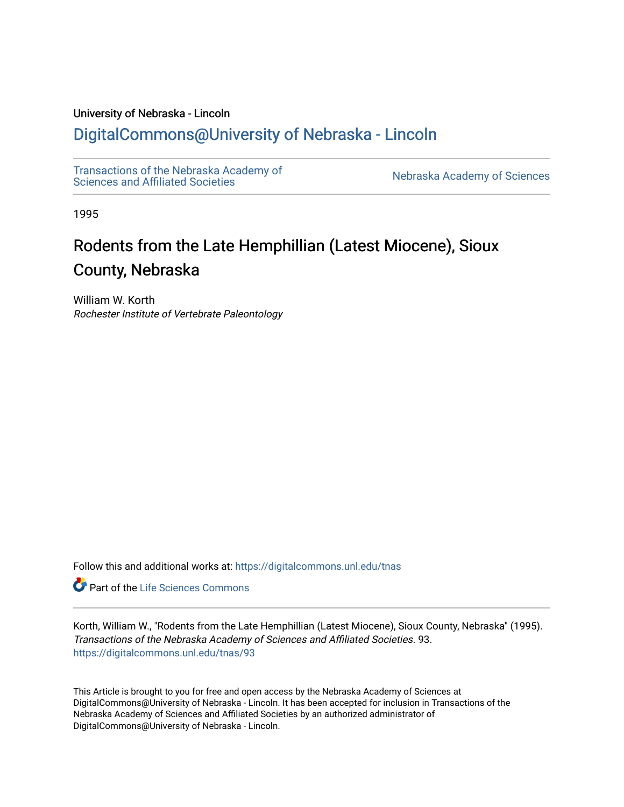### University of Nebraska - Lincoln

## [DigitalCommons@University of Nebraska - Lincoln](https://digitalcommons.unl.edu/)

[Transactions of the Nebraska Academy of](https://digitalcommons.unl.edu/tnas)  Transactions of the Nebraska Academy of Sciences<br>Sciences and Affiliated Societies

1995

# Rodents from the Late Hemphillian (Latest Miocene), Sioux County, Nebraska

William W. Korth Rochester Institute of Vertebrate Paleontology

Follow this and additional works at: [https://digitalcommons.unl.edu/tnas](https://digitalcommons.unl.edu/tnas?utm_source=digitalcommons.unl.edu%2Ftnas%2F93&utm_medium=PDF&utm_campaign=PDFCoverPages) 

Part of the [Life Sciences Commons](http://network.bepress.com/hgg/discipline/1016?utm_source=digitalcommons.unl.edu%2Ftnas%2F93&utm_medium=PDF&utm_campaign=PDFCoverPages) 

Korth, William W., "Rodents from the Late Hemphillian (Latest Miocene), Sioux County, Nebraska" (1995). Transactions of the Nebraska Academy of Sciences and Affiliated Societies. 93. [https://digitalcommons.unl.edu/tnas/93](https://digitalcommons.unl.edu/tnas/93?utm_source=digitalcommons.unl.edu%2Ftnas%2F93&utm_medium=PDF&utm_campaign=PDFCoverPages)

This Article is brought to you for free and open access by the Nebraska Academy of Sciences at DigitalCommons@University of Nebraska - Lincoln. It has been accepted for inclusion in Transactions of the Nebraska Academy of Sciences and Affiliated Societies by an authorized administrator of DigitalCommons@University of Nebraska - Lincoln.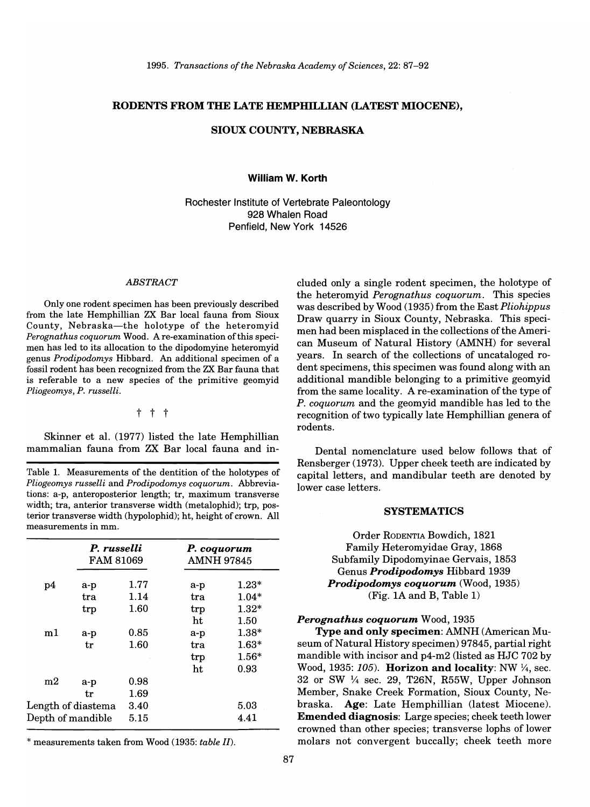#### RODENTS FROM THE LATE HEMPHILLIAN (LATEST MIOCENE),

#### SIOUX COUNTY, NEBRASKA

#### William W. Korth

Rochester Institute of Vertebrate Paleontology 928 Whalen Road Penfield, New York 14526

#### *ABSTRACT*

Only one rodent specimen has been previously described from the late Hemphillian ZX Bar local fauna from Sioux County, Nebraska-the holotype of the heteromyid *Perognathus coquorum* Wood. A re-examination of this specimen has led to its allocation to the dipodomyine heteromyid genus *Prodipodomys* Hibbard. An additional specimen of a fossil rodent has been recognized from the ZX Bar fauna that is referable to a new species of the primitive geomyid *Pliogeomys, P. russelli.* 

#### t t t

Skinner et al. (1977) listed the late Hemphillian mammalian fauna from ZX Bar local fauna and in-

Table 1. Measurements of the dentition of the holotypes of *Pliogeomys russelli* and *Prodipodomys coquorum.* Abbreviations: a-p, anteroposterior length; tr, maximum transverse width; tra, anterior transverse width (metalophid); trp, posterior transverse width (hypolophid); ht, height of crown. All measurements in mm.

|                    |       | P. russelli<br><b>FAM 81069</b> |       | P. coquorum<br><b>AMNH 97845</b> |  |
|--------------------|-------|---------------------------------|-------|----------------------------------|--|
| p4                 | a-p   | 1.77                            | $a-p$ | $1.23*$                          |  |
|                    | tra   | 1.14                            | tra   | $1.04*$                          |  |
|                    | trp   | 1.60                            | trp   | $1.32*$                          |  |
|                    |       |                                 | ht    | 1.50                             |  |
| m1                 | a-p   | 0.85                            | $a-p$ | $1.38*$                          |  |
|                    | tr    | 1.60                            | tra   | $1.63*$                          |  |
|                    |       |                                 | trp   | $1.56*$                          |  |
|                    |       |                                 | ht    | 0.93                             |  |
| m2                 | $a-p$ | 0.98                            |       |                                  |  |
|                    | tr    | 1.69                            |       |                                  |  |
| Length of diastema |       | 3.40                            |       | 5.03                             |  |
| Depth of mandible  |       | 5.15                            |       | 4.41                             |  |

\* measurements taken from Wood (1935: *table II).* 

cluded only a single rodent specimen, the holotype of the heteromyid *Perognathus coquorum.* This species was described by Wood (1935) from the East *Pliohippus*  Draw quarry in Sioux County, Nebraska. This specimen had been misplaced in the collections of the American Museum of Natural History (AMNH) for several years. In search of the collections of uncataloged rodent specimens, this specimen was found along with an additional mandible belonging to a primitive geomyid from the same locality. A re-examination of the type of *P. coquorum* and the geomyid mandible has led to the recognition of two typically late Hemphillian genera of rodents.

Dental nomenclature used below follows that of Rensberger (1973). Upper cheek teeth are indicated by capital letters, and mandibular teeth are denoted by lower case letters.

#### **SYSTEMATICS**

Order RODENTIA Bowdich, 1821 Family Heteromyidae Gray, 1868 Subfamily Dipodomyinae Gervais, 1853 Genus *Prodipodomys* Hibbard 1939 *Prodipodomys coquorum* (Wood, 1935) (Fig. 1A and B, Table 1)

#### *Perognathus coquorum* Wood, 1935

Type and only specimen: AMNH (American Museum of Natural History specimen) 97845, partial right mandible with incisor and p4-m2 (listed as HJC 702 by Wood, 1935:  $105$ ). Horizon and locality: NW  $\frac{1}{4}$ , sec. 32 or SW 1/4 sec. 29, T26N, R55W, Upper Johnson Member, Snake Creek Formation, Sioux County, Nebraska. Age: Late Hemphillian (latest Miocene). Emended diagnosis: Large species; cheek teeth lower crowned than other species; transverse lophs of lower molars not convergent buccally; cheek teeth more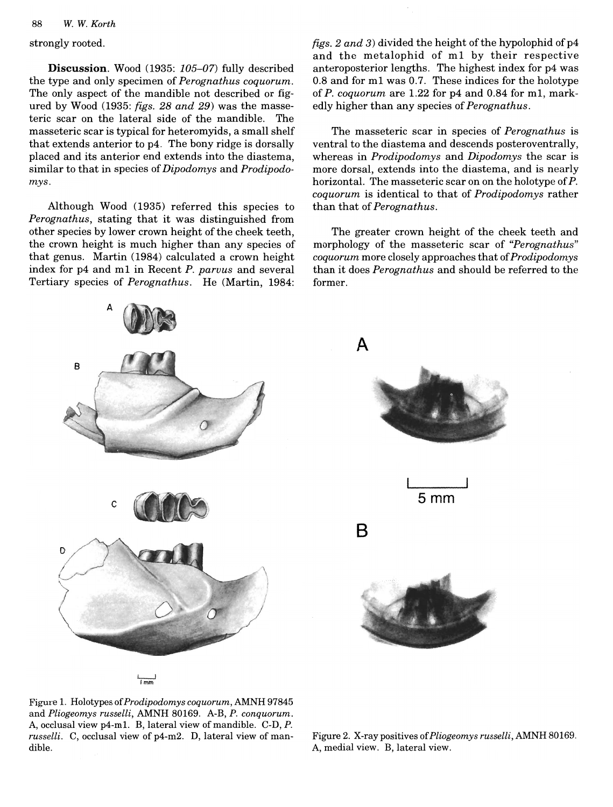#### 88 W. W. Korth

Discussion. Wood (1935: 105-07) fully described the type and only specimen of Perognathus coquorum. The only aspect of the mandible not described or figured by Wood (1935: figs. 28 and 29) was the masse- edly higher than any species of *Perognathus*. teric scar on the lateral side of the mandible. The masseteric scar is typical for heteromyids, a small shelf that extends anterior to p4. The bony ridge is dorsally placed and its anterior end extends into the diastema. similar to that in species of *Dipodomys* and *Prodipodo* $mys.$  $\frac{1}{\sqrt{2}}$ 

Although Wood (1935) referred this species to than that of *Perognathus*. Perognathus, stating that it was distinguished from other species by lower crown height of the cheek teeth, the crown height is much higher than any species of that genus. Martin (1984) calculated a crown height index for p4 and m1 in Recent P. parvus and several Tertiary species of *Perognathus*. He (Martin, 1984:

discussion. Wood (1935: 105-07) fully described (1935: 105-07) fully described (1935: 105-07) fully described (<br>The contract of the contract of the contract of the contract of the contract of the contract of the contract o figs. 2 and 3) divided the height of the hypolophid of  $p4$ and the metalophid of m1 by their respective anteroposterior lengths. The highest index for p4 was 0.8 and for m1 was 0.7. These indices for the holotype of  $P$ . *coquorum* are 1.22 for  $p4$  and 0.84 for m1, mark-The masseteric scar in species of *Perognathus* is

> The masseteric scar in species of *Perognathus* is ventral to the diastema and descends posteroventrally, whereas in *Prodipodomys* and *Dipodomys* the scar is more dorsal, extends into the diastema, and is nearly horizontal. The masseteric scar on on the holotype of P. coquorum is identical to that of *Prodipodomys* rather  $T_{\rm eff}$  and  $T_{\rm eff}$  terms of the cheek teeth and  $T_{\rm eff}$

The greater crown height of the cheek teeth and morphology of the masseteric scar of "Perognathus" coquorum more closely approaches that of Prodipodomys than it does *Perognathus* and should be referred to the former.





Figure 1. Holotypes of *Prodipodomys coquorum*, AMNH 97845 and Pliogeomys russelli, AMNH 80169. A-B, P. conquorum. A, occlusal view p4-m1. B, lateral view of mandible. C-D, P. russelli. C, occlusal view of p4-m2. D, lateral view of mandible.

Figure 1. Holotypes *ofProdipodomys coquorum,* AMNH 97845

Figure 2. X-ray positives of Pliogeomys russelli, AMNH 80169. A, medial view. B, lateral view.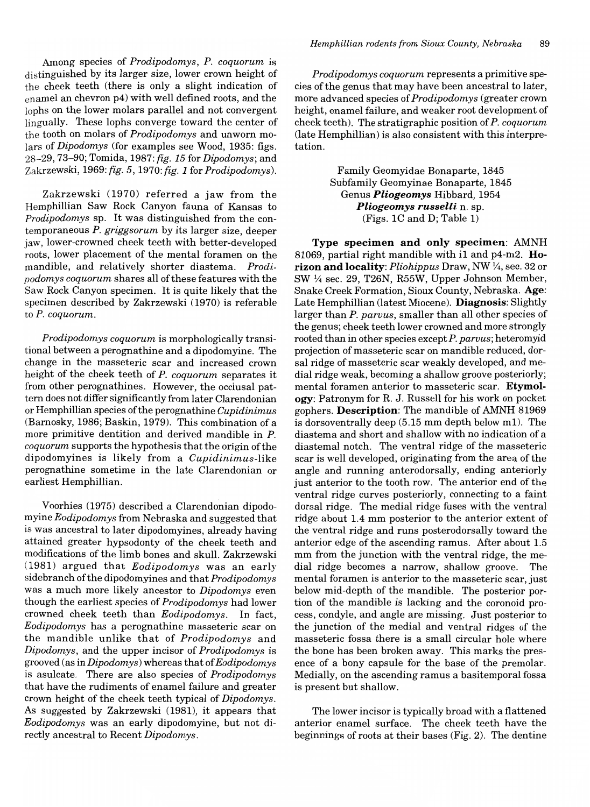Among species of *Prodipodomys, P. coquorum* is distinguished by its larger size, lower crown height of the cheek teeth (there is only a slight indication of enamel an chevron p4) with well defined roots, and the lophs on the lower molars parallel and not convergent lingually. These lophs converge toward the center of the tooth on molars of *Prodipodomys* and unworn molars of *Dipodomys* (for examples see Wood, 1935: figs. 28-29,73-90; Tomida, 1987: *fig.* 15 for *Dipodomys;* and Zakrzewski, 1969: *fig.* 5, 1970: *fig.* 1 for *Prodipodomys).* 

Zakrzewski (1970) referred a jaw from the Hemphillian Saw Rock Canyon fauna of Kansas to *Prodipodomys* sp. It was distinguished from the contemporaneous *P. griggsorum* by its larger size, deeper jaw, lower-crowned cheek teeth with better-developed roots, lower placement of the mental foramen on the mandible, and relatively shorter diastema. *Prodipodomys coquorum* shares all ofthese features with the Saw Rock Canyon specimen. It is quite likely that the specimen described by Zakrzewski (1970) is referable to *P. coquorum.* 

*Prodipodomys coquorum* is morphologically transitional between a perognathine and a dipodomyine. The change in the masseteric scar and increased crown height of the cheek teeth of *P. coquorum* separates it from other perognathines. However, the occlusal pattern does not differ significantly from later Clarendonian or Hemphillian species ofthe perognathine *Cupidinimus*  (Barnosky, 1986; Baskin, 1979). This combination of a more primitive dentition and derived mandible in *P.*  coquorum supports the hypothesis that the origin of the dipodomyines is likely from a *Cupidinimus-like*  perognathine sometime in the late Clarendonian or earliest Hemphillian.

Voorhies (1975) described a Clarendonian dipodomyine *Eodipodomys* from Nebraska and suggested that is was ancestral to later dipodomyines, already having attained greater hypsodonty of the cheek teeth and modifications of the limb bones and skull. Zakrzewski (1981) argued that *Eodipodomys* was an early sidebranch ofthe dipodomyines and that *Prodipodomys*  was a much more likely ancestor to *Dipodomys* even though the earliest species of *Prodipodomys* had lower crowned cheek teeth than *Eodipodomys.* In fact, *Eodipodomys* has a perognathine masseteric scar on the mandible unlike that of *Prodipodomys* and *Dipodomys,* and the upper incisor of *Prodipodomys* is grooved (as in *Dipodomys)* whereas that of *Eodipodomys*  is asulcate. There are also species of *Prodipodomys*  that have the rudiments of enamel failure and greater crown height of the cheek teeth typical of *Dipodomys.*  As suggested by Zakrzewski (1981), it appears that *Eodipodomys* was an early dipodomyine, but not directly ancestral to Recent *Dipodomys.* 

*Prodipodomys coquorum* represents a primitive species ofthe genus that may have been ancestral to later, more advanced species of *Prodipodomys* (greater crown height, enamel failure, and weaker root development of cheek teeth). The stratigraphic position of *P. coquorum*  (late Hemphillian) is also consistent with this interpretation.

> Family Geomyidae Bonaparte, 1845 Subfamily Geomyinae Bonaparte, 1845 Genus *Pliogeomys* Hibbard, 1954 *Pliogeomys russelli* n. sp. (Figs. 1C and D; Table 1)

Type specimen and only specimen: AMNH 81069, partial right mandible with i1 and p4-m2. Horizon and locality: *Pliohippus Draw*, NW 1/4, sec. 32 or SW  $\frac{1}{4}$  sec. 29, T26N, R55W, Upper Johnson Member, Snake Creek Formation, Sioux County, Nebraska. Age: Late Hemphillian (latest Miocene). Diagnosis: Slightly larger than *P. paruus,* smaller than all other species of the genus; cheek teeth lower crowned and more strongly rooted than in other species except *P. paruus;* heteromyid projection of masseteric scar on mandible reduced, dorsal ridge of masseteric scar weakly developed, and medial ridge weak, becoming a shallow groove posteriorly; mental foramen anterior to masseteric scar. Etymology: Patronym for R. J. Russell for his work on pocket gophers. Description: The mandible of AMNH 81969 is dorsoventrally deep  $(5.15 \text{ mm depth below m1}).$  The diastema and short and shallow with no indication of a diastemal notch. The ventral ridge of the masseteric scar is well developed, originating from the area of the angle and running anterodorsally, ending anteriorly just anterior to the tooth row. The anterior end of the ventral ridge curves posteriorly, connecting to a faint dorsal ridge. The medial ridge fuses with the ventral ridge about 1.4 mm posterior to the anterior extent of the ventral ridge and runs posterodorsally toward the anterior edge of the ascending ramus. After about 1.5 mm from the junction with the ventral ridge, the medial ridge becomes a narrow, shallow groove. The mental foramen is anterior to the masseteric scar, just below mid-depth of the mandible. The posterior portion of the mandible is lacking and the coronoid process, condyle, and angle are missing. Just posterior to the junction of the medial and ventral ridges of the masseteric fossa there is a small circular hole where the bone has been broken away. This marks the presence of a bony capsule for the base of the premolar. Medially, on the ascending ramus a basitemporal fossa is present but shallow.

The lower incisor is typically broad with a flattened anterior enamel surface. The cheek teeth have the beginnings of roots at their bases (Fig. 2). The dentine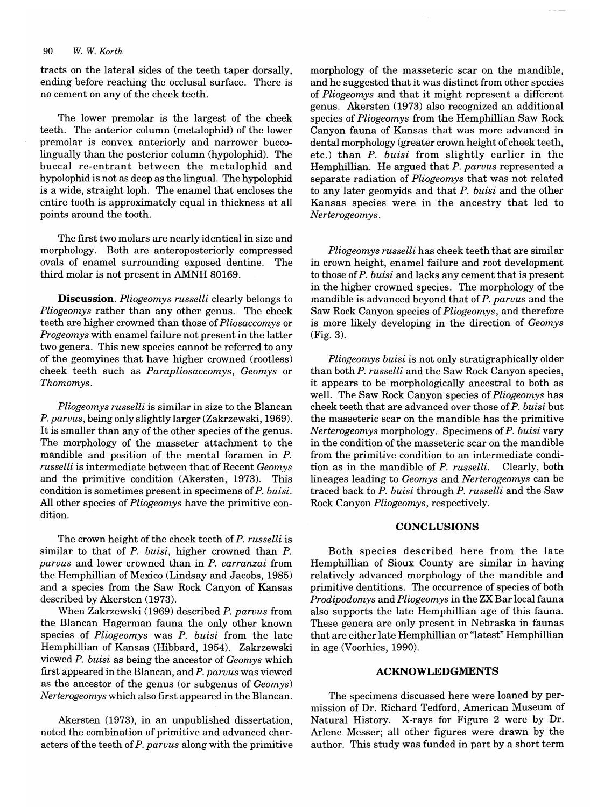#### *90* W. *W. Korth*

tracts on the lateral sides of the teeth taper dorsally, ending before reaching the occlusal surface. There is no cement on any of the cheek teeth.

The lower premolar is the largest of the cheek teeth. The anterior column (metalophid) of the lower premolar is convex anteriorly and narrower buccolingually than the posterior column (hypolophid). The buccal re-entrant between the metalophid and hypolophid is not as deep as the lingual. The hypolophid is a wide, straight loph. The enamel that encloses the entire tooth is approximately equal in thickness at all points around the tooth.

The first two molars are nearly identical in size and morphology. Both are anteroposteriorly compressed ovals of enamel surrounding exposed dentine. The third molar is not present in AMNH 80169.

Discussion. *Pliogeomys russelli* clearly belongs to *Pliogeomys* rather than any other genus. The cheek teeth are higher crowned than those of *Pliosaccomys* or *Progeomys* with enamel failure not present in the latter two genera. This new species cannot be referred to any of the geomyines that have higher crowned (rootless) cheek teeth such as *Parapliosaccomys, Geomys* or *Thomomys.* 

*Pliogeomys russelli* is similar in size to the Blancan *P. paruus,* being only slightly larger (Zakrzewski, 1969). It is smaller than any of the other species of the genus. The morphology of the masseter attachment to the mandible and position of the mental foramen in P. *russelli* is intermediate between that of Recent *Geomys*  and the primitive condition (Akersten, 1973). This condition is sometimes present in specimens of *P. buisi.*  All other species of *Pliogeomys* have the primitive condition.

The crown height of the cheek teeth of *P. russelli* is similar to that of *P. buisi,* higher crowned than *P. paruus* and lower crowned than in *P. carranzai* from the Hemphillian of Mexico (Lindsay and Jacobs, 1985) and a species from the Saw Rock Canyon of Kansas described by Akersten (1973).

When Zakrzewski (1969) described *P. paruus* from the Blancan Hagerman fauna the only other known species of *Pliogeomys* was *P. buisi* from the late Hemphillian of Kansas (Hibbard, 1954). Zakrzewski viewed *P. buisi* as being the ancestor of *Geomys* which first appeared in the Blancan, and *P. paruus* was viewed as the ancestor of the genus (or subgenus of *Geomys) Nerterogeomys* which also first appeared in the Blancan.

Akersten (1973), in an unpublished dissertation, noted the combination of primitive and advanced characters of the teeth of *P. paruus* along with the primitive morphology of the masseteric scar on the mandible, and he suggested that it was distinct from other species of *Pliogeomys* and that it might represent a different genus. Akersten (1973) also recognized an additional species of *Pliogeomys* from the Hemphillian Saw Rock Canyon fauna of Kansas that was more advanced in dental morphology (greater crown height of cheek teeth, etc.) than *P. buisi* from slightly earlier in the Hemphillian. He argued that *P. paruus* represented a separate radiation of *Pliogeomys* that was not related to any later geomyids and that *P. buisi* and the other Kansas species were in the ancestry that led to *Nerterogeomys.* 

*Pliogeomys russelli* has cheek teeth that are similar in crown height, enamel failure and root development to those of *P. buisi* and lacks any cement that is present in the higher crowned species. The morphology of the mandible is advanced beyond that of *P. paruus* and the Saw Rock Canyon species of *Pliogeomys,* and therefore is more likely developing in the direction of *Geomys*  (Fig. 3).

*Pliogeomys buisi* is not only stratigraphically older than both *P. russelli* and the Saw Rock Canyon species, it appears to be morphologically ancestral to both as well. The Saw Rock Canyon species of *Pliogeomys* has cheek teeth that are advanced over those of *P. buisi* but the masseteric scar on the mandible has the primitive *Nerterogeomys* morphology. Specimens of *P. buisi* vary in the condition of the masseteric scar on the mandible from the primitive condition to an intermediate condition as in the mandible of *P. russelli.* Clearly, both lineages leading to *Geomys* and *Nerterogeomys* can be traced back to *P. buisi* through *P. russelli* and the Saw Rock Canyon *Pliogeomys,* respectively.

### **CONCLUSIONS**

Both species described here from the late Hemphillian of Sioux County are similar in having relatively advanced morphology of the mandible and primitive dentitions. The occurrence of species of both *Prodipodomys* and *Pliogeomys* in the ZX Bar local fauna also supports the late Hemphillian age of this fauna. These genera are only present in Nebraska in faunas that are either late Hemphillian or "latest" Hemphillian in age (Voorhies, 1990).

#### **ACKNOWLEDGMENTS**

The specimens discussed here were loaned by permission of Dr. Richard Tedford, American Museum of Natural History. X-rays for Figure 2 were by Dr. Arlene Messer; all other figures were drawn by the author. This study was funded in part by a short term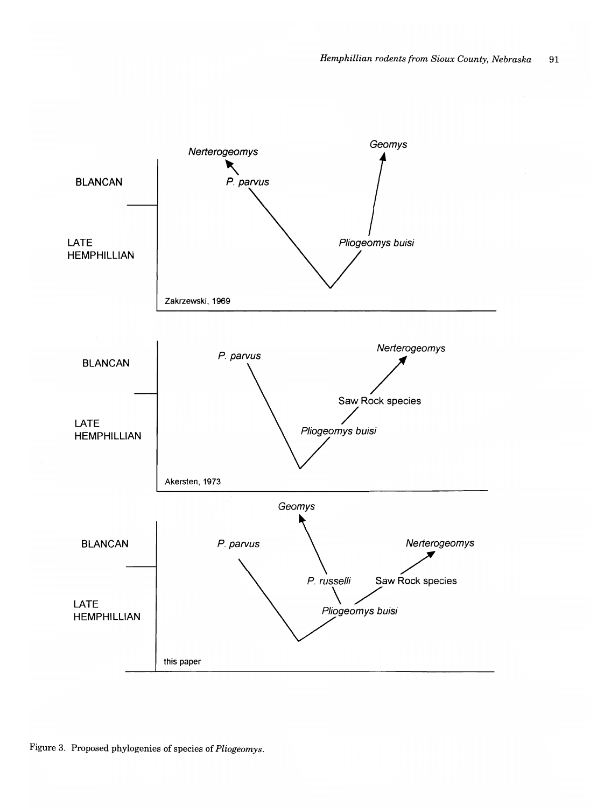